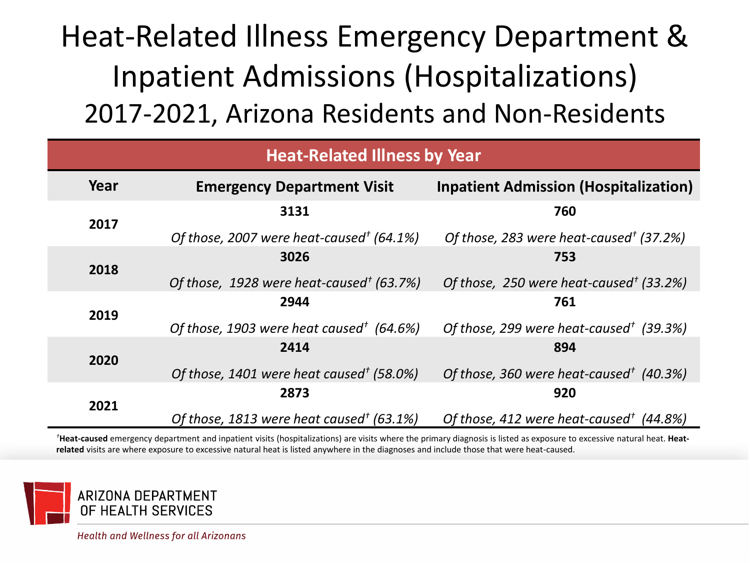# Heat-Related Illness Emergency Department & Inpatient Admissions (Hospitalizations) 2017-2021, Arizona Residents and Non-Residents

| <b>Heat-Related Illness by Year</b> |                                                      |                                                     |  |  |  |  |  |
|-------------------------------------|------------------------------------------------------|-----------------------------------------------------|--|--|--|--|--|
| Year                                | <b>Emergency Department Visit</b>                    | <b>Inpatient Admission (Hospitalization)</b>        |  |  |  |  |  |
| 2017                                | 3131                                                 | 760                                                 |  |  |  |  |  |
|                                     | Of those, 2007 were heat-caused <sup>†</sup> (64.1%) | Of those, 283 were heat-caused <sup>†</sup> (37.2%) |  |  |  |  |  |
|                                     | 3026                                                 | 753                                                 |  |  |  |  |  |
| 2018                                | Of those, 1928 were heat-caused <sup>†</sup> (63.7%) | Of those, 250 were heat-caused <sup>†</sup> (33.2%) |  |  |  |  |  |
| 2019                                | 2944                                                 | 761                                                 |  |  |  |  |  |
|                                     | Of those, 1903 were heat caused <sup>†</sup> (64.6%) | Of those, 299 were heat-caused <sup>†</sup> (39.3%) |  |  |  |  |  |
|                                     | 2414                                                 | 894                                                 |  |  |  |  |  |
| 2020                                | Of those, 1401 were heat caused <sup>†</sup> (58.0%) | Of those, 360 were heat-caused <sup>†</sup> (40.3%) |  |  |  |  |  |
|                                     | 2873                                                 | 920                                                 |  |  |  |  |  |
| 2021                                | Of those, 1813 were heat caused <sup>†</sup> (63.1%) | Of those, 412 were heat-caused <sup>†</sup> (44.8%) |  |  |  |  |  |

*†***Heat-caused** emergency department and inpatient visits (hospitalizations) are visits where the primary diagnosis is listed as exposure to excessive natural heat. **Heatrelated** visits are where exposure to excessive natural heat is listed anywhere in the diagnoses and include those that were heat-caused.

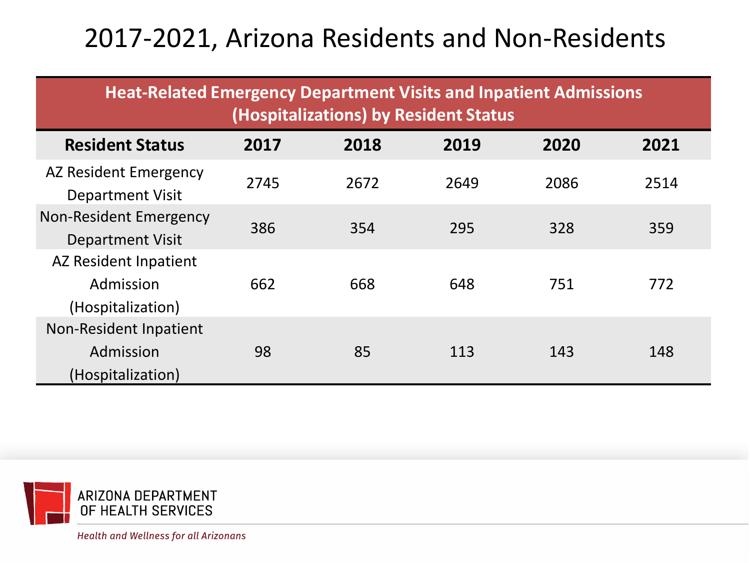# 2017-2021, Arizona Residents and Non-Residents

| <b>Heat-Related Emergency Department Visits and Inpatient Admissions</b><br>(Hospitalizations) by Resident Status |      |      |      |      |      |  |  |  |
|-------------------------------------------------------------------------------------------------------------------|------|------|------|------|------|--|--|--|
| <b>Resident Status</b>                                                                                            | 2017 | 2018 | 2019 | 2020 | 2021 |  |  |  |
| AZ Resident Emergency<br><b>Department Visit</b>                                                                  | 2745 | 2672 | 2649 | 2086 | 2514 |  |  |  |
| <b>Non-Resident Emergency</b><br><b>Department Visit</b>                                                          | 386  | 354  | 295  | 328  | 359  |  |  |  |
| AZ Resident Inpatient<br>Admission<br>(Hospitalization)                                                           | 662  | 668  | 648  | 751  | 772  |  |  |  |
| Non-Resident Inpatient<br>Admission<br>(Hospitalization)                                                          | 98   | 85   | 113  | 143  | 148  |  |  |  |

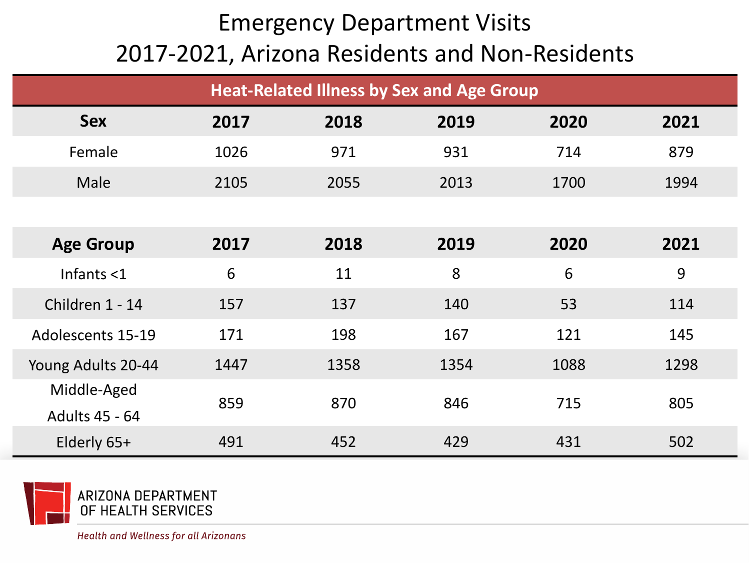## Emergency Department Visits 2017-2021, Arizona Residents and Non-Residents

| <b>Heat-Related Illness by Sex and Age Group</b> |      |      |      |      |      |  |  |
|--------------------------------------------------|------|------|------|------|------|--|--|
| <b>Sex</b>                                       | 2017 | 2018 | 2019 | 2020 | 2021 |  |  |
| Female                                           | 1026 | 971  | 931  | 714  | 879  |  |  |
| Male                                             | 2105 | 2055 | 2013 | 1700 | 1994 |  |  |
|                                                  |      |      |      |      |      |  |  |
| <b>Age Group</b>                                 | 2017 | 2018 | 2019 | 2020 | 2021 |  |  |
| Infants $<$ 1                                    | 6    | 11   | 8    | 6    | 9    |  |  |
| Children 1 - 14                                  | 157  | 137  | 140  | 53   | 114  |  |  |
| <b>Adolescents 15-19</b>                         | 171  | 198  | 167  | 121  | 145  |  |  |
| Young Adults 20-44                               | 1447 | 1358 | 1354 | 1088 | 1298 |  |  |
| Middle-Aged                                      | 859  | 870  | 846  | 715  | 805  |  |  |
| Adults 45 - 64                                   |      |      |      |      |      |  |  |
| Elderly 65+                                      | 491  | 452  | 429  | 431  | 502  |  |  |

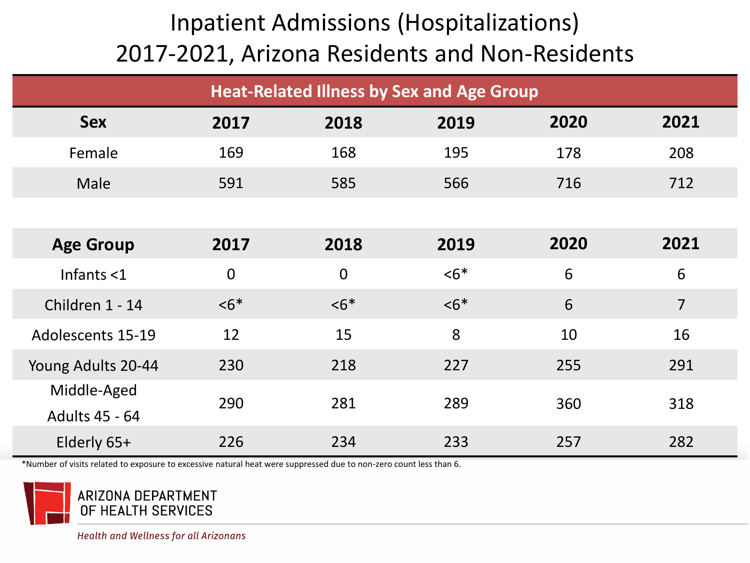| <b>Heat-Related Illness by Sex and Age Group</b> |             |                |        |      |                |  |  |
|--------------------------------------------------|-------------|----------------|--------|------|----------------|--|--|
| <b>Sex</b>                                       | 2017        | 2018           | 2019   | 2020 | 2021           |  |  |
| Female                                           | 169         | 168            | 195    | 178  | 208            |  |  |
| Male                                             | 591         | 585            | 566    | 716  | 712            |  |  |
|                                                  |             |                |        |      |                |  |  |
| <b>Age Group</b>                                 | 2017        | 2018           | 2019   | 2020 | 2021           |  |  |
| Infants $<$ 1                                    | $\mathbf 0$ | $\overline{0}$ | $55^*$ | 6    | 6              |  |  |
| Children 1 - 14                                  | $56*$       | $56*$          | $56*$  | 6    | $\overline{7}$ |  |  |
| <b>Adolescents 15-19</b>                         | 12          | 15             | 8      | 10   | 16             |  |  |
| Young Adults 20-44                               | 230         | 218            | 227    | 255  | 291            |  |  |
| Middle-Aged                                      | 290         | 281            | 289    | 360  | 318            |  |  |
| Adults 45 - 64                                   |             |                |        |      |                |  |  |
| Elderly 65+                                      | 226         | 234            | 233    | 257  | 282            |  |  |

\*Number of visits related to exposure to excessive natural heat were suppressed due to non-zero count less than 6.

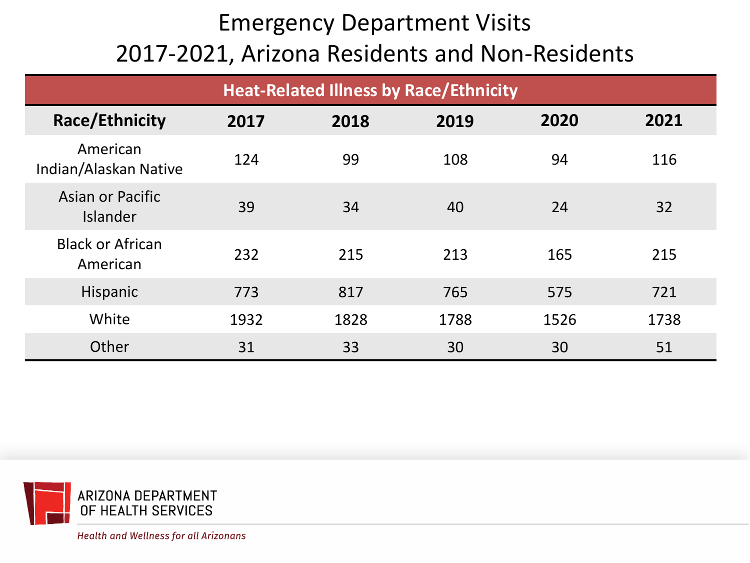## Emergency Department Visits 2017-2021, Arizona Residents and Non-Residents

| <b>Heat-Related Illness by Race/Ethnicity</b> |      |      |      |      |      |  |  |
|-----------------------------------------------|------|------|------|------|------|--|--|
| Race/Ethnicity                                | 2017 | 2018 | 2019 | 2020 | 2021 |  |  |
| American<br>Indian/Alaskan Native             | 124  | 99   | 108  | 94   | 116  |  |  |
| Asian or Pacific<br>Islander                  | 39   | 34   | 40   | 24   | 32   |  |  |
| <b>Black or African</b><br>American           | 232  | 215  | 213  | 165  | 215  |  |  |
| Hispanic                                      | 773  | 817  | 765  | 575  | 721  |  |  |
| White                                         | 1932 | 1828 | 1788 | 1526 | 1738 |  |  |
| Other                                         | 31   | 33   | 30   | 30   | 51   |  |  |

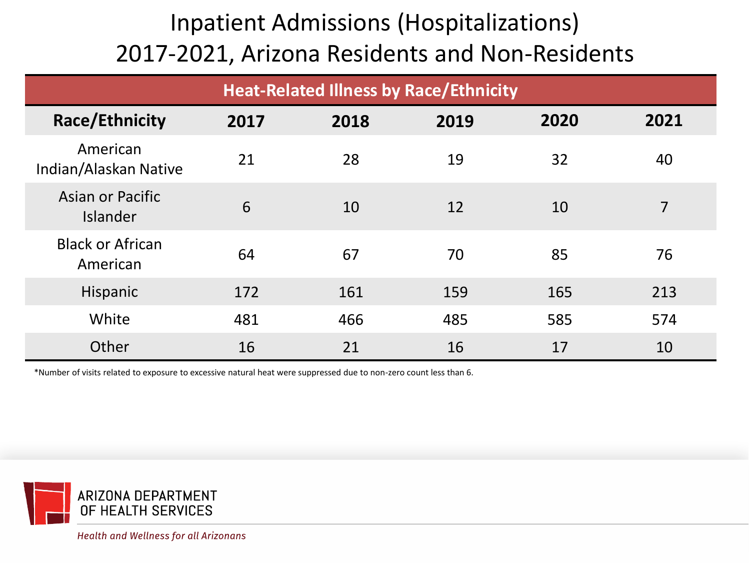| <b>Heat-Related Illness by Race/Ethnicity</b> |      |      |      |      |      |  |  |
|-----------------------------------------------|------|------|------|------|------|--|--|
| Race/Ethnicity                                | 2017 | 2018 | 2019 | 2020 | 2021 |  |  |
| American<br>Indian/Alaskan Native             | 21   | 28   | 19   | 32   | 40   |  |  |
| Asian or Pacific<br><b>Islander</b>           | 6    | 10   | 12   | 10   | 7    |  |  |
| <b>Black or African</b><br>American           | 64   | 67   | 70   | 85   | 76   |  |  |
| Hispanic                                      | 172  | 161  | 159  | 165  | 213  |  |  |
| White                                         | 481  | 466  | 485  | 585  | 574  |  |  |
| Other                                         | 16   | 21   | 16   | 17   | 10   |  |  |

\*Number of visits related to exposure to excessive natural heat were suppressed due to non-zero count less than 6.

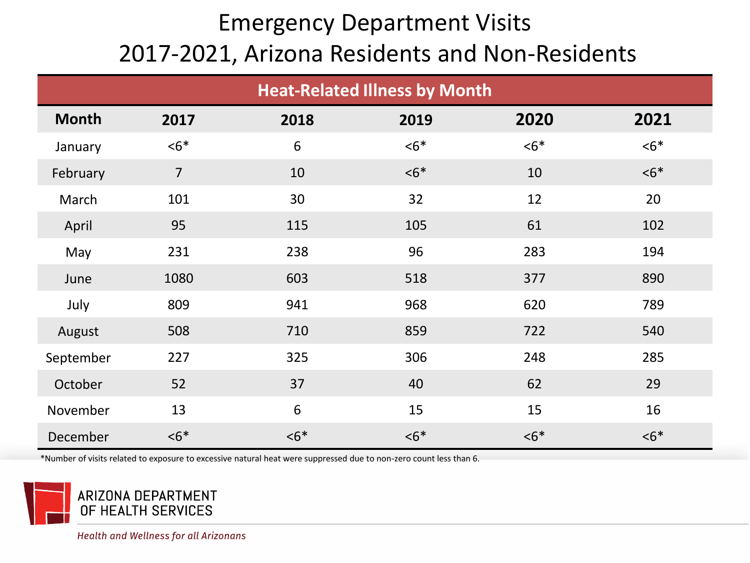#### Emergency Department Visits 2017-2021, Arizona Residents and Non-Residents

| <b>Heat-Related Illness by Month</b> |                |       |       |       |       |  |  |  |
|--------------------------------------|----------------|-------|-------|-------|-------|--|--|--|
| <b>Month</b>                         | 2017           | 2018  | 2019  | 2020  | 2021  |  |  |  |
| January                              | $6*$           | $6\,$ | $6*$  | $55*$ | $55*$ |  |  |  |
| February                             | $\overline{7}$ | 10    | $56*$ | 10    | $55*$ |  |  |  |
| March                                | 101            | 30    | 32    | 12    | 20    |  |  |  |
| April                                | 95             | 115   | 105   | 61    | 102   |  |  |  |
| May                                  | 231            | 238   | 96    | 283   | 194   |  |  |  |
| June                                 | 1080           | 603   | 518   | 377   | 890   |  |  |  |
| July                                 | 809            | 941   | 968   | 620   | 789   |  |  |  |
| August                               | 508            | 710   | 859   | 722   | 540   |  |  |  |
| September                            | 227            | 325   | 306   | 248   | 285   |  |  |  |
| October                              | 52             | 37    | 40    | 62    | 29    |  |  |  |
| November                             | 13             | $6\,$ | 15    | 15    | 16    |  |  |  |
| December                             | $55*$          | $56*$ | $56*$ | $55*$ | $55*$ |  |  |  |

\*Number of visits related to exposure to excessive natural heat were suppressed due to non-zero count less than 6.

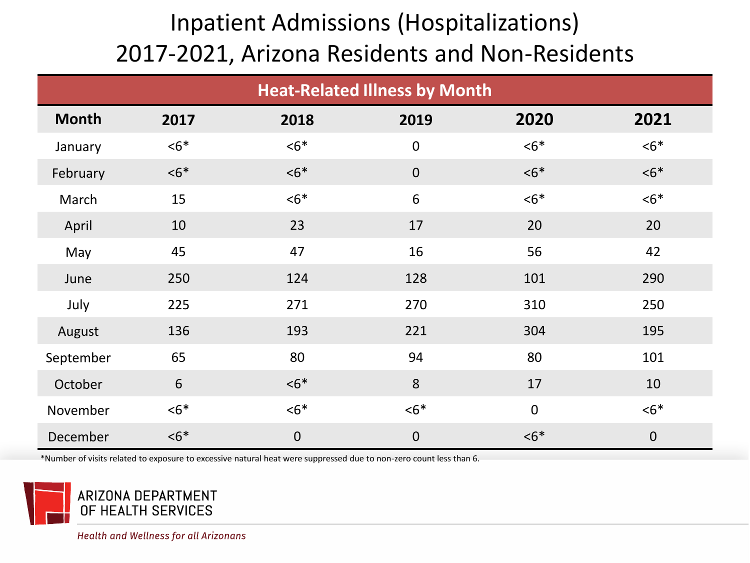| <b>Heat-Related Illness by Month</b> |       |             |             |             |             |  |  |  |
|--------------------------------------|-------|-------------|-------------|-------------|-------------|--|--|--|
| <b>Month</b>                         | 2017  | 2018        | 2019        | 2020        | 2021        |  |  |  |
| January                              | $6*$  | $55*$       | $\pmb{0}$   | $6*$        | $6*$        |  |  |  |
| February                             | $56*$ | $56*$       | $\mathbf 0$ | $< 6*$      | $56*$       |  |  |  |
| March                                | 15    | $6*$        | 6           | $6*$        | $< 6*$      |  |  |  |
| April                                | 10    | 23          | 17          | 20          | 20          |  |  |  |
| May                                  | 45    | 47          | 16          | 56          | 42          |  |  |  |
| June                                 | 250   | 124         | 128         | 101         | 290         |  |  |  |
| July                                 | 225   | 271         | 270         | 310         | 250         |  |  |  |
| August                               | 136   | 193         | 221         | 304         | 195         |  |  |  |
| September                            | 65    | 80          | 94          | 80          | 101         |  |  |  |
| October                              | 6     | $55*$       | 8           | 17          | 10          |  |  |  |
| November                             | $6*$  | $< 6*$      | $6*$        | $\mathbf 0$ | $6*$        |  |  |  |
| December                             | $55*$ | $\mathbf 0$ | $\mathbf 0$ | $56*$       | $\mathbf 0$ |  |  |  |

\*Number of visits related to exposure to excessive natural heat were suppressed due to non-zero count less than 6.

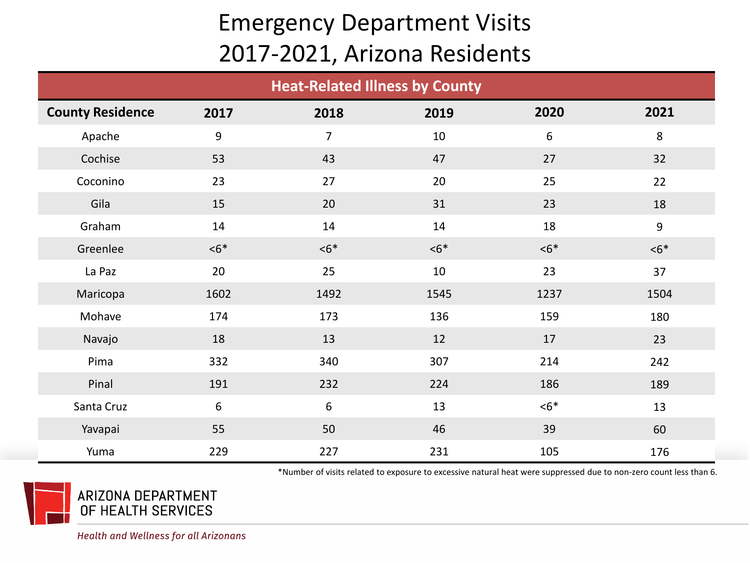### Emergency Department Visits 2017-2021, Arizona Residents

| <b>Heat-Related Illness by County</b> |                  |                |      |                  |      |  |  |
|---------------------------------------|------------------|----------------|------|------------------|------|--|--|
| <b>County Residence</b>               | 2017             | 2018           | 2019 | 2020             | 2021 |  |  |
| Apache                                | $\boldsymbol{9}$ | $\overline{7}$ | 10   | $\boldsymbol{6}$ | 8    |  |  |
| Cochise                               | 53               | 43             | 47   | 27               | 32   |  |  |
| Coconino                              | 23               | 27             | 20   | 25               | 22   |  |  |
| Gila                                  | 15               | 20             | 31   | 23               | 18   |  |  |
| Graham                                | 14               | 14             | 14   | 18               | 9    |  |  |
| Greenlee                              | $6*$             | $6*$           | $6*$ | $6*$             | $6*$ |  |  |
| La Paz                                | 20               | 25             | 10   | 23               | 37   |  |  |
| Maricopa                              | 1602             | 1492           | 1545 | 1237             | 1504 |  |  |
| Mohave                                | 174              | 173            | 136  | 159              | 180  |  |  |
| Navajo                                | 18               | 13             | 12   | 17               | 23   |  |  |
| Pima                                  | 332              | 340            | 307  | 214              | 242  |  |  |
| Pinal                                 | 191              | 232            | 224  | 186              | 189  |  |  |
| Santa Cruz                            | 6                | 6              | 13   | $6*$             | 13   |  |  |
| Yavapai                               | 55               | 50             | 46   | 39               | 60   |  |  |
| Yuma                                  | 229              | 227            | 231  | 105              | 176  |  |  |

\*Number of visits related to exposure to excessive natural heat were suppressed due to non-zero count less than 6.

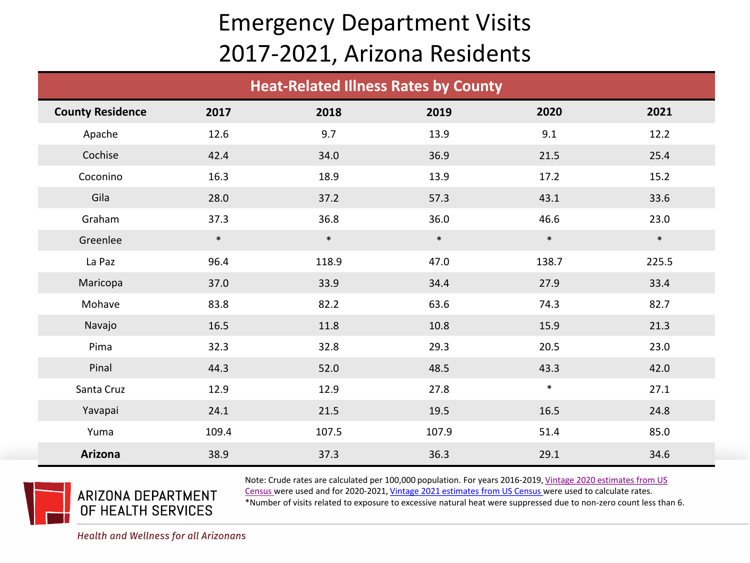#### Emergency Department Visits 2017-2021, Arizona Residents

| <b>Heat-Related Illness Rates by County</b> |        |        |        |        |        |  |  |
|---------------------------------------------|--------|--------|--------|--------|--------|--|--|
| <b>County Residence</b>                     | 2017   | 2018   | 2019   | 2020   | 2021   |  |  |
| Apache                                      | 12.6   | 9.7    | 13.9   | 9.1    | 12.2   |  |  |
| Cochise                                     | 42.4   | 34.0   | 36.9   | 21.5   | 25.4   |  |  |
| Coconino                                    | 16.3   | 18.9   | 13.9   | 17.2   | 15.2   |  |  |
| Gila                                        | 28.0   | 37.2   | 57.3   | 43.1   | 33.6   |  |  |
| Graham                                      | 37.3   | 36.8   | 36.0   | 46.6   | 23.0   |  |  |
| Greenlee                                    | $\ast$ | $\ast$ | $\ast$ | $\ast$ | $\ast$ |  |  |
| La Paz                                      | 96.4   | 118.9  | 47.0   | 138.7  | 225.5  |  |  |
| Maricopa                                    | 37.0   | 33.9   | 34.4   | 27.9   | 33.4   |  |  |
| Mohave                                      | 83.8   | 82.2   | 63.6   | 74.3   | 82.7   |  |  |
| Navajo                                      | 16.5   | 11.8   | 10.8   | 15.9   | 21.3   |  |  |
| Pima                                        | 32.3   | 32.8   | 29.3   | 20.5   | 23.0   |  |  |
| Pinal                                       | 44.3   | 52.0   | 48.5   | 43.3   | 42.0   |  |  |
| Santa Cruz                                  | 12.9   | 12.9   | 27.8   | $\ast$ | 27.1   |  |  |
| Yavapai                                     | 24.1   | 21.5   | 19.5   | 16.5   | 24.8   |  |  |
| Yuma                                        | 109.4  | 107.5  | 107.9  | 51.4   | 85.0   |  |  |
| Arizona                                     | 38.9   | 37.3   | 36.3   | 29.1   | 34.6   |  |  |



[Note: Crude rates are calculated per 100,000 population. For years 2016-2019, Vintage 2020 estimates from US](https://www.census.gov/programs-surveys/popest/technical-documentation/research/evaluation-estimates/2020-evaluation-estimates/2010s-counties-total.html)  Census were used and for 2020-2021, [Vintage 2021 estimates from US Census](https://www.census.gov/data/tables/time-series/demo/popest/2020s-counties-total.html) were used to calculate rates.

\*Number of visits related to exposure to excessive natural heat were suppressed due to non-zero count less than 6.

Health and Wellness for all Arizonans

ARIZONA DEPARTMENT OF HEALTH SERVICES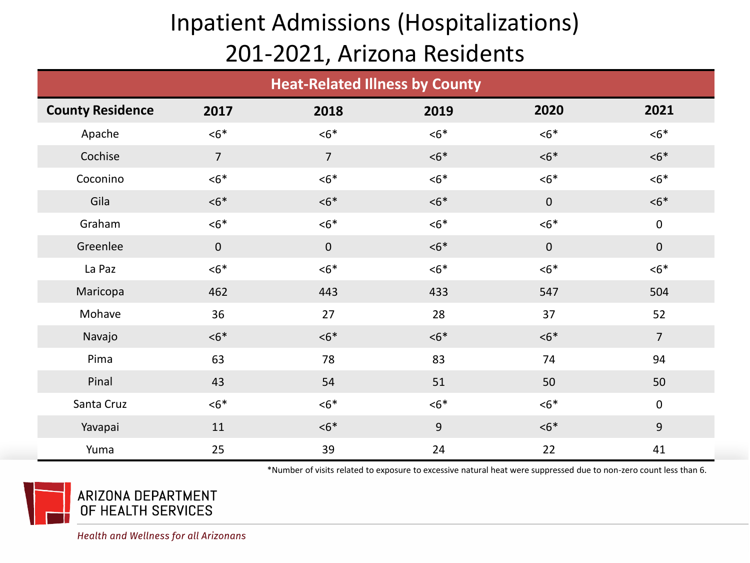#### Inpatient Admissions (Hospitalizations) 201-2021, Arizona Residents

| <b>Heat-Related Illness by County</b> |                |                |      |             |                |  |  |
|---------------------------------------|----------------|----------------|------|-------------|----------------|--|--|
| <b>County Residence</b>               | 2017           | 2018           | 2019 | 2020        | 2021           |  |  |
| Apache                                | $6*$           | $6*$           | $6*$ | $6*$        | $6*$           |  |  |
| Cochise                               | $\overline{7}$ | $\overline{7}$ | $6*$ | $6*$        | $6*$           |  |  |
| Coconino                              | $6*$           | $6*$           | $6*$ | $6*$        | $6*$           |  |  |
| Gila                                  | $6*$           | $6*$           | $6*$ | $\mathbf 0$ | $6*$           |  |  |
| Graham                                | $6*$           | $6*$           | $6*$ | $6*$        | $\pmb{0}$      |  |  |
| Greenlee                              | $\mathbf 0$    | $\mathbf 0$    | $6*$ | $\mathbf 0$ | $\pmb{0}$      |  |  |
| La Paz                                | $6*$           | $6*$           | $6*$ | $6*$        | $6*$           |  |  |
| Maricopa                              | 462            | 443            | 433  | 547         | 504            |  |  |
| Mohave                                | 36             | 27             | 28   | 37          | 52             |  |  |
| Navajo                                | $6*$           | $6*$           | $6*$ | $6*$        | $\overline{7}$ |  |  |
| Pima                                  | 63             | 78             | 83   | 74          | 94             |  |  |
| Pinal                                 | 43             | 54             | 51   | 50          | 50             |  |  |
| Santa Cruz                            | $6*$           | $6*$           | $6*$ | $6*$        | $\pmb{0}$      |  |  |
| Yavapai                               | 11             | $6*$           | 9    | $6*$        | 9              |  |  |
| Yuma                                  | 25             | 39             | 24   | 22          | 41             |  |  |

\*Number of visits related to exposure to excessive natural heat were suppressed due to non-zero count less than 6.



ARIZONA DEPARTMENT OF HEALTH SERVICES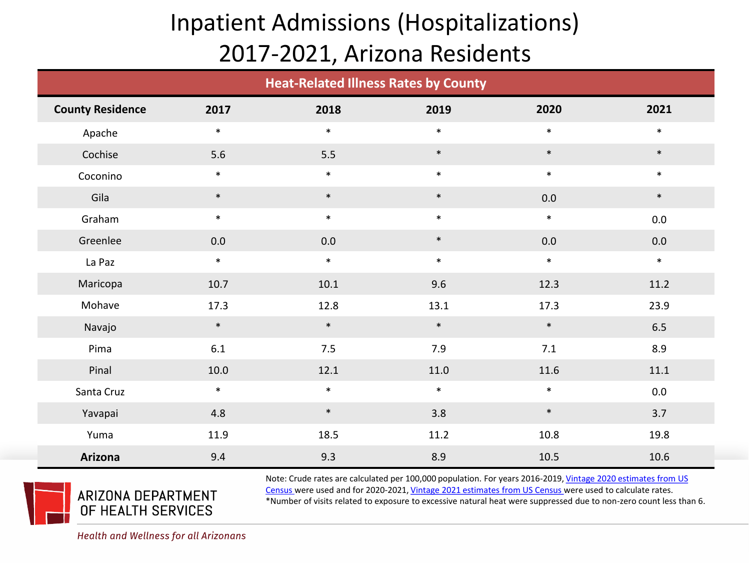## Inpatient Admissions (Hospitalizations) 2017-2021, Arizona Residents

|                         | <b>Heat-Related Illness Rates by County</b> |        |        |        |         |  |  |  |
|-------------------------|---------------------------------------------|--------|--------|--------|---------|--|--|--|
| <b>County Residence</b> | 2017                                        | 2018   | 2019   | 2020   | 2021    |  |  |  |
| Apache                  | $\ast$                                      | $\ast$ | $\ast$ | $\ast$ | $\ast$  |  |  |  |
| Cochise                 | 5.6                                         | 5.5    | $\ast$ | $\ast$ | $\ast$  |  |  |  |
| Coconino                | $\ast$                                      | $\ast$ | $\ast$ | $\ast$ | $\ast$  |  |  |  |
| Gila                    | $\ast$                                      | $\ast$ | $\ast$ | 0.0    | $\ast$  |  |  |  |
| Graham                  | $\ast$                                      | $\ast$ | $\ast$ | $\ast$ | $0.0\,$ |  |  |  |
| Greenlee                | 0.0                                         | 0.0    | $\ast$ | 0.0    | 0.0     |  |  |  |
| La Paz                  | $\ast$                                      | $\ast$ | $\ast$ | $\ast$ | $\ast$  |  |  |  |
| Maricopa                | 10.7                                        | 10.1   | 9.6    | 12.3   | 11.2    |  |  |  |
| Mohave                  | 17.3                                        | 12.8   | 13.1   | 17.3   | 23.9    |  |  |  |
| Navajo                  | $\ast$                                      | $\ast$ | $\ast$ | $\ast$ | 6.5     |  |  |  |
| Pima                    | $6.1\,$                                     | 7.5    | 7.9    | 7.1    | 8.9     |  |  |  |
| Pinal                   | 10.0                                        | 12.1   | 11.0   | 11.6   | 11.1    |  |  |  |
| Santa Cruz              | $\ast$                                      | $\ast$ | $\ast$ | $\ast$ | $0.0\,$ |  |  |  |
| Yavapai                 | 4.8                                         | $\ast$ | 3.8    | $\ast$ | 3.7     |  |  |  |
| Yuma                    | 11.9                                        | 18.5   | 11.2   | 10.8   | 19.8    |  |  |  |
| Arizona                 | 9.4                                         | 9.3    | 8.9    | 10.5   | 10.6    |  |  |  |



[Note: Crude rates are calculated per 100,000 population. For years 2016-2019, Vintage 2020 estimates from US](https://www.census.gov/programs-surveys/popest/technical-documentation/research/evaluation-estimates/2020-evaluation-estimates/2010s-counties-total.html)  Census were used and for 2020-2021, [Vintage 2021 estimates from US Census](https://www.census.gov/data/tables/time-series/demo/popest/2020s-counties-total.html) were used to calculate rates. \*Number of visits related to exposure to excessive natural heat were suppressed due to non-zero count less than 6.

ARIZONA DEPARTMENT OF HEALTH SERVICES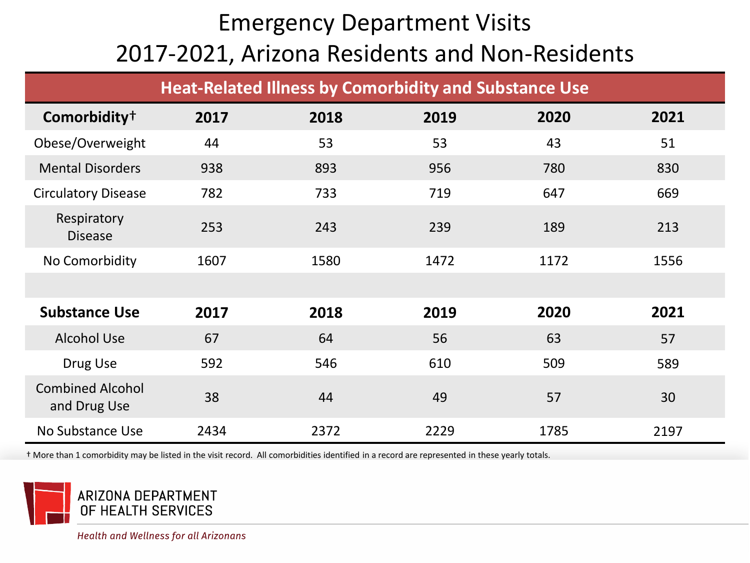## Emergency Department Visits 2017-2021, Arizona Residents and Non-Residents

|                                         |      | <b>Heat-Related Illness by Comorbidity and Substance Use</b> |      |      |      |
|-----------------------------------------|------|--------------------------------------------------------------|------|------|------|
| Comorbidity <sup>+</sup>                | 2017 | 2018                                                         | 2019 | 2020 | 2021 |
| Obese/Overweight                        | 44   | 53                                                           | 53   | 43   | 51   |
| <b>Mental Disorders</b>                 | 938  | 893                                                          | 956  | 780  | 830  |
| <b>Circulatory Disease</b>              | 782  | 733                                                          | 719  | 647  | 669  |
| Respiratory<br><b>Disease</b>           | 253  | 243                                                          | 239  | 189  | 213  |
| No Comorbidity                          | 1607 | 1580                                                         | 1472 | 1172 | 1556 |
|                                         |      |                                                              |      |      |      |
| <b>Substance Use</b>                    | 2017 | 2018                                                         | 2019 | 2020 | 2021 |
| <b>Alcohol Use</b>                      | 67   | 64                                                           | 56   | 63   | 57   |
| Drug Use                                | 592  | 546                                                          | 610  | 509  | 589  |
| <b>Combined Alcohol</b><br>and Drug Use | 38   | 44                                                           | 49   | 57   | 30   |
| No Substance Use                        | 2434 | 2372                                                         | 2229 | 1785 | 2197 |

† More than 1 comorbidity may be listed in the visit record. All comorbidities identified in a record are represented in these yearly totals.

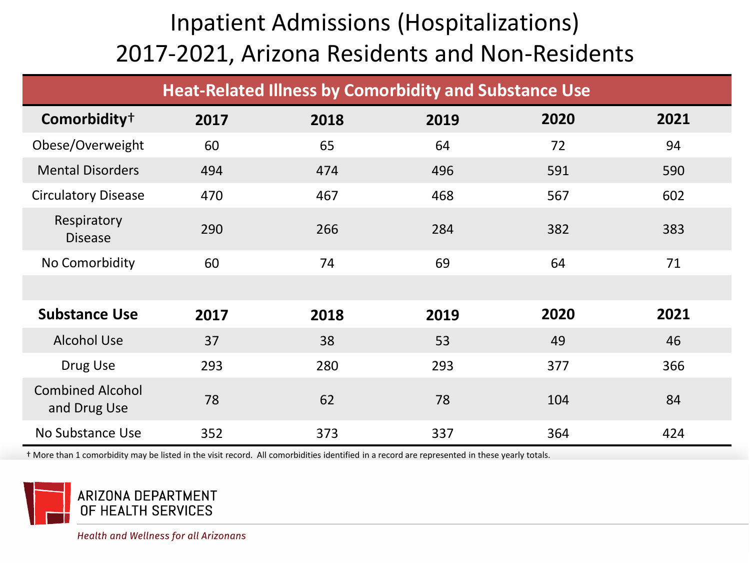| <b>Heat-Related Illness by Comorbidity and Substance Use</b> |      |      |      |      |      |
|--------------------------------------------------------------|------|------|------|------|------|
| Comorbidity <sup>+</sup>                                     | 2017 | 2018 | 2019 | 2020 | 2021 |
| Obese/Overweight                                             | 60   | 65   | 64   | 72   | 94   |
| <b>Mental Disorders</b>                                      | 494  | 474  | 496  | 591  | 590  |
| <b>Circulatory Disease</b>                                   | 470  | 467  | 468  | 567  | 602  |
| Respiratory<br><b>Disease</b>                                | 290  | 266  | 284  | 382  | 383  |
| No Comorbidity                                               | 60   | 74   | 69   | 64   | 71   |
|                                                              |      |      |      |      |      |
| <b>Substance Use</b>                                         | 2017 | 2018 | 2019 | 2020 | 2021 |
| <b>Alcohol Use</b>                                           | 37   | 38   | 53   | 49   | 46   |
| Drug Use                                                     | 293  | 280  | 293  | 377  | 366  |
| <b>Combined Alcohol</b><br>and Drug Use                      | 78   | 62   | 78   | 104  | 84   |
| No Substance Use                                             | 352  | 373  | 337  | 364  | 424  |

† More than 1 comorbidity may be listed in the visit record. All comorbidities identified in a record are represented in these yearly totals.

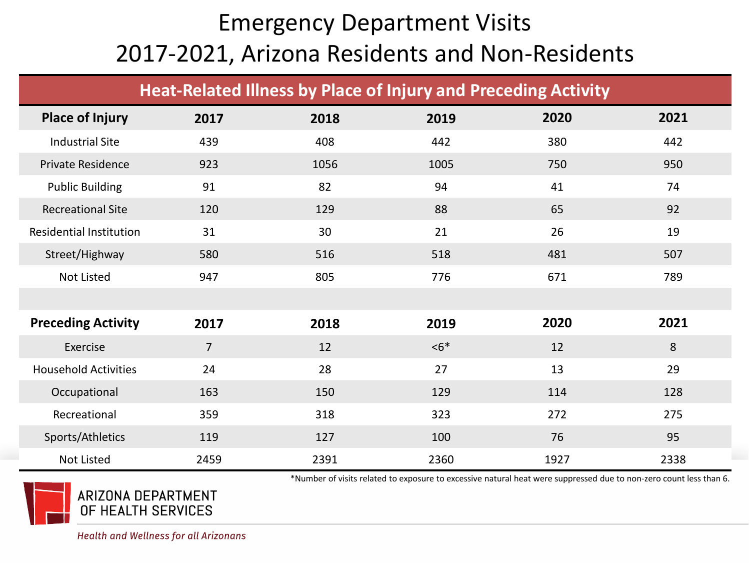## Emergency Department Visits 2017-2021, Arizona Residents and Non-Residents

| <b>Heat-Related Illness by Place of Injury and Preceding Activity</b> |                |      |        |      |      |
|-----------------------------------------------------------------------|----------------|------|--------|------|------|
| <b>Place of Injury</b>                                                | 2017           | 2018 | 2019   | 2020 | 2021 |
| <b>Industrial Site</b>                                                | 439            | 408  | 442    | 380  | 442  |
| <b>Private Residence</b>                                              | 923            | 1056 | 1005   | 750  | 950  |
| <b>Public Building</b>                                                | 91             | 82   | 94     | 41   | 74   |
| <b>Recreational Site</b>                                              | 120            | 129  | 88     | 65   | 92   |
| <b>Residential Institution</b>                                        | 31             | 30   | 21     | 26   | 19   |
| Street/Highway                                                        | 580            | 516  | 518    | 481  | 507  |
| <b>Not Listed</b>                                                     | 947            | 805  | 776    | 671  | 789  |
|                                                                       |                |      |        |      |      |
| <b>Preceding Activity</b>                                             | 2017           | 2018 | 2019   | 2020 | 2021 |
| Exercise                                                              | $\overline{7}$ | 12   | $< 6*$ | 12   | 8    |
| <b>Household Activities</b>                                           | 24             | 28   | 27     | 13   | 29   |
| Occupational                                                          | 163            | 150  | 129    | 114  | 128  |
| Recreational                                                          | 359            | 318  | 323    | 272  | 275  |
| Sports/Athletics                                                      | 119            | 127  | 100    | 76   | 95   |
| <b>Not Listed</b>                                                     | 2459           | 2391 | 2360   | 1927 | 2338 |



ARIZONA DEPARTMENT OF HEALTH SERVICES

\*Number of visits related to exposure to excessive natural heat were suppressed due to non-zero count less than 6.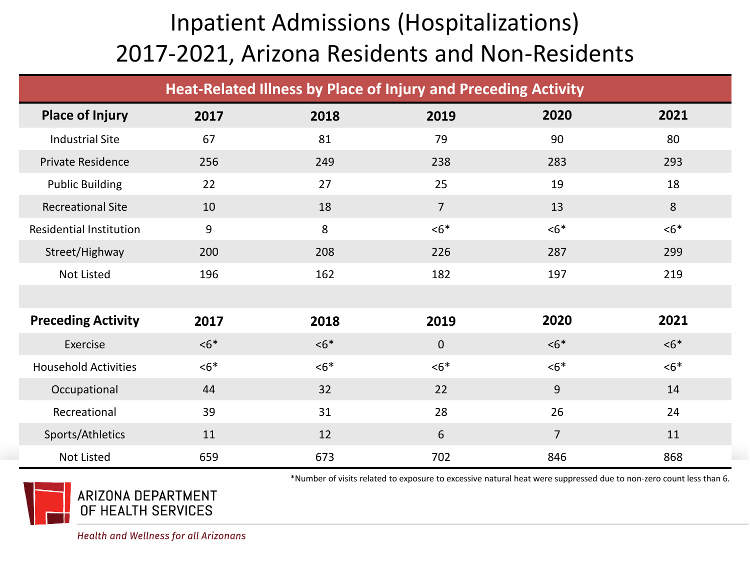| Heat-Related Illness by Place of Injury and Preceding Activity |       |       |                |                |       |
|----------------------------------------------------------------|-------|-------|----------------|----------------|-------|
| <b>Place of Injury</b>                                         | 2017  | 2018  | 2019           | 2020           | 2021  |
| <b>Industrial Site</b>                                         | 67    | 81    | 79             | 90             | 80    |
| <b>Private Residence</b>                                       | 256   | 249   | 238            | 283            | 293   |
| <b>Public Building</b>                                         | 22    | 27    | 25             | 19             | 18    |
| <b>Recreational Site</b>                                       | 10    | 18    | $\overline{7}$ | 13             | 8     |
| <b>Residential Institution</b>                                 | 9     | 8     | $6*$           | $6*$           | $6*$  |
| Street/Highway                                                 | 200   | 208   | 226            | 287            | 299   |
| Not Listed                                                     | 196   | 162   | 182            | 197            | 219   |
|                                                                |       |       |                |                |       |
| <b>Preceding Activity</b>                                      | 2017  | 2018  | 2019           | 2020           | 2021  |
| Exercise                                                       | $55*$ | $56*$ | $\Omega$       | $6*$           | $56*$ |
| <b>Household Activities</b>                                    | $6*$  | $6*$  | $6*$           | $6*$           | $6*$  |
| Occupational                                                   | 44    | 32    | 22             | 9              | 14    |
| Recreational                                                   | 39    | 31    | 28             | 26             | 24    |
| Sports/Athletics                                               | 11    | 12    | 6              | $\overline{7}$ | 11    |
| <b>Not Listed</b>                                              | 659   | 673   | 702            | 846            | 868   |



\*Number of visits related to exposure to excessive natural heat were suppressed due to non-zero count less than 6.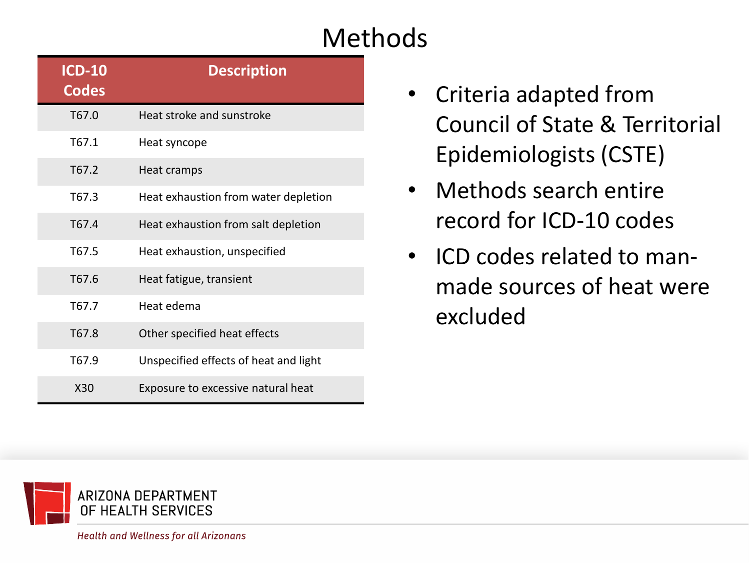# Methods

| <b>ICD-10</b><br><b>Codes</b> | <b>Description</b>                    |
|-------------------------------|---------------------------------------|
| T67.0                         | Heat stroke and sunstroke             |
| T67.1                         | Heat syncope                          |
| T67.2                         | Heat cramps                           |
| T67.3                         | Heat exhaustion from water depletion  |
| T <sub>67.4</sub>             | Heat exhaustion from salt depletion   |
| T67.5                         | Heat exhaustion, unspecified          |
| T67.6                         | Heat fatigue, transient               |
| T67.7                         | Heat edema                            |
| T67.8                         | Other specified heat effects          |
| T67.9                         | Unspecified effects of heat and light |
| X30                           | Exposure to excessive natural heat    |

- Criteria adapted from Council of State & Territorial Epidemiologists (CSTE)
- Methods search entire record for ICD-10 codes
- ICD codes related to manmade sources of heat were excluded